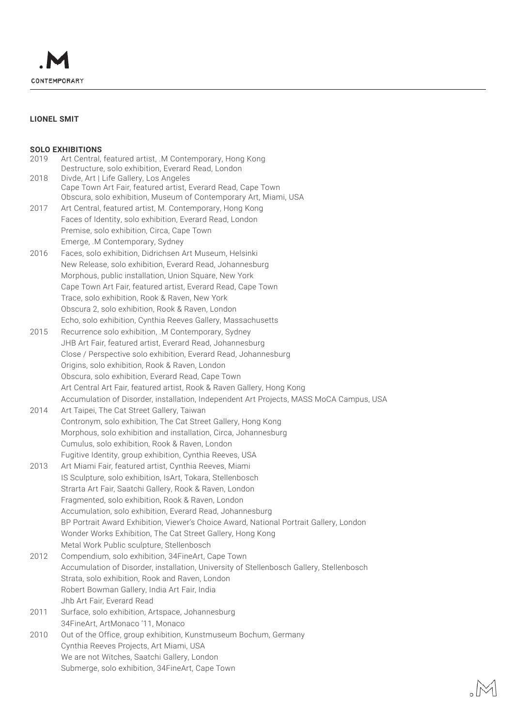

# **LIONEL SMIT**

## **SOLO EXHIBITIONS**

|      | <b>JULU EANIDI HUNJ</b>                                                                                        |
|------|----------------------------------------------------------------------------------------------------------------|
| 2019 | Art Central, featured artist, .M Contemporary, Hong Kong<br>Destructure, solo exhibition, Everard Read, London |
| 2018 | Divde, Art   Life Gallery, Los Angeles                                                                         |
|      | Cape Town Art Fair, featured artist, Everard Read, Cape Town                                                   |
|      | Obscura, solo exhibition, Museum of Contemporary Art, Miami, USA                                               |
| 2017 | Art Central, featured artist, M. Contemporary, Hong Kong                                                       |
|      | Faces of Identity, solo exhibition, Everard Read, London                                                       |
|      | Premise, solo exhibition, Circa, Cape Town                                                                     |
|      | Emerge, .M Contemporary, Sydney                                                                                |
| 2016 | Faces, solo exhibition, Didrichsen Art Museum, Helsinki                                                        |
|      | New Release, solo exhibition, Everard Read, Johannesburg                                                       |
|      | Morphous, public installation, Union Square, New York                                                          |
|      | Cape Town Art Fair, featured artist, Everard Read, Cape Town                                                   |
|      | Trace, solo exhibition, Rook & Raven, New York                                                                 |
|      | Obscura 2, solo exhibition, Rook & Raven, London                                                               |
|      | Echo, solo exhibition, Cynthia Reeves Gallery, Massachusetts                                                   |
| 2015 | Recurrence solo exhibition, .M Contemporary, Sydney                                                            |
|      | JHB Art Fair, featured artist, Everard Read, Johannesburg                                                      |
|      | Close / Perspective solo exhibition, Everard Read, Johannesburg                                                |
|      | Origins, solo exhibition, Rook & Raven, London                                                                 |
|      | Obscura, solo exhibition, Everard Read, Cape Town                                                              |
|      | Art Central Art Fair, featured artist, Rook & Raven Gallery, Hong Kong                                         |
|      | Accumulation of Disorder, installation, Independent Art Projects, MASS MoCA Campus, USA                        |
|      |                                                                                                                |
| 2014 | Art Taipei, The Cat Street Gallery, Taiwan                                                                     |
|      | Contronym, solo exhibition, The Cat Street Gallery, Hong Kong                                                  |
|      | Morphous, solo exhibition and installation, Circa, Johannesburg                                                |
|      | Cumulus, solo exhibition, Rook & Raven, London                                                                 |
|      | Fugitive Identity, group exhibition, Cynthia Reeves, USA                                                       |
| 2013 | Art Miami Fair, featured artist, Cynthia Reeves, Miami                                                         |
|      | IS Sculpture, solo exhibition, IsArt, Tokara, Stellenbosch                                                     |
|      | Strarta Art Fair, Saatchi Gallery, Rook & Raven, London                                                        |
|      | Fragmented, solo exhibition, Rook & Raven, London                                                              |
|      | Accumulation, solo exhibition, Everard Read, Johannesburg                                                      |
|      | BP Portrait Award Exhibition, Viewer's Choice Award, National Portrait Gallery, London                         |
|      | Wonder Works Exhibition, The Cat Street Gallery, Hong Kong                                                     |
|      | Metal Work Public sculpture, Stellenbosch                                                                      |
| 2012 | Compendium, solo exhibition, 34FineArt, Cape Town                                                              |
|      | Accumulation of Disorder, installation, University of Stellenbosch Gallery, Stellenbosch                       |
|      | Strata, solo exhibition, Rook and Raven, London                                                                |
|      | Robert Bowman Gallery, India Art Fair, India                                                                   |
|      | Jhb Art Fair, Everard Read                                                                                     |
| 2011 | Surface, solo exhibition, Artspace, Johannesburg                                                               |
|      | 34FineArt, ArtMonaco '11, Monaco                                                                               |
| 2010 | Out of the Office, group exhibition, Kunstmuseum Bochum, Germany                                               |
|      | Cynthia Reeves Projects, Art Miami, USA                                                                        |
|      | We are not Witches, Saatchi Gallery, London                                                                    |
|      | Submerge, solo exhibition, 34FineArt, Cape Town                                                                |